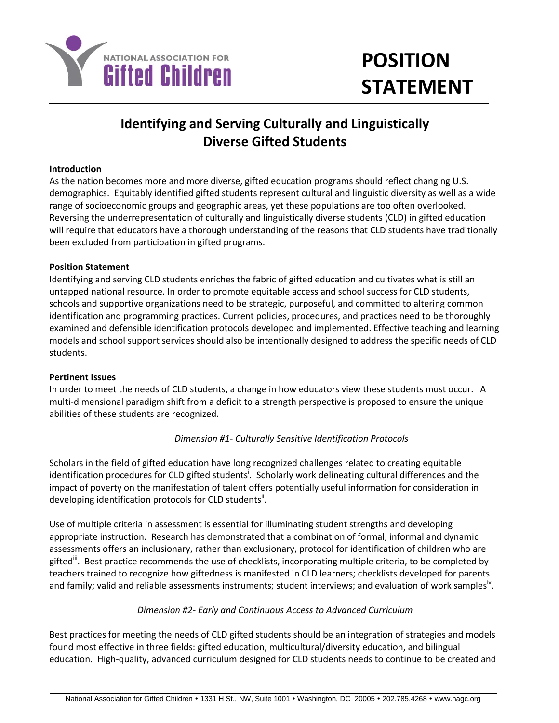

# **POSITION STATEMENT**

# **Identifying and Serving Culturally and Linguistically Diverse Gifted Students**

#### **Introduction**

As the nation becomes more and more diverse, gifted education programs should reflect changing U.S. demographics. Equitably identified gifted students represent cultural and linguistic diversity as well as a wide range of socioeconomic groups and geographic areas, yet these populations are too often overlooked. Reversing the underrepresentation of culturally and linguistically diverse students (CLD) in gifted education will require that educators have a thorough understanding of the reasons that CLD students have traditionally been excluded from participation in gifted programs.

#### **Position Statement**

Identifying and serving CLD students enriches the fabric of gifted education and cultivates what is still an untapped national resource. In order to promote equitable access and school success for CLD students, schools and supportive organizations need to be strategic, purposeful, and committed to altering common identification and programming practices. Current policies, procedures, and practices need to be thoroughly examined and defensible identification protocols developed and implemented. Effective teaching and learning models and school support services should also be intentionally designed to address the specific needs of CLD students.

#### **Pertinent Issues**

In order to meet the needs of CLD students, a change in how educators view these students must occur. A multi-dimensional paradigm shift from a deficit to a strength perspective is proposed to ensure the unique abilities of these students are recognized.

# *Dimension #1- Culturally Sensitive Identification Protocols*

Scholars in the field of gifted education have long recognized challenges related to creating equitable identification procedures for CLD gifted students<sup>i</sup>. Scholarly work delineating cultural differences and the impact of poverty on the manifestation of talent offers potentially useful information for consideration in developing identification protocols for CLD students".

Use of multiple criteria in assessment is essential for illuminating student strengths and developing appropriate instruction. Research has demonstrated that a combination of formal, informal and dynamic assessments offers an inclusionary, rather than exclusionary, protocol for identification of children who are gifted". Best practice recommends the use of checklists, incorporating multiple criteria, to be completed by teachers trained to recognize how giftedness is manifested in CLD learners; checklists developed for parents and family; valid and reliable assessments instruments; student interviews; and evaluation of work samples<sup>iv</sup>.

# *Dimension #2- Early and Continuous Access to Advanced Curriculum*

Best practices for meeting the needs of CLD gifted students should be an integration of strategies and models found most effective in three fields: gifted education, multicultural/diversity education, and bilingual education. High-quality, advanced curriculum designed for CLD students needs to continue to be created and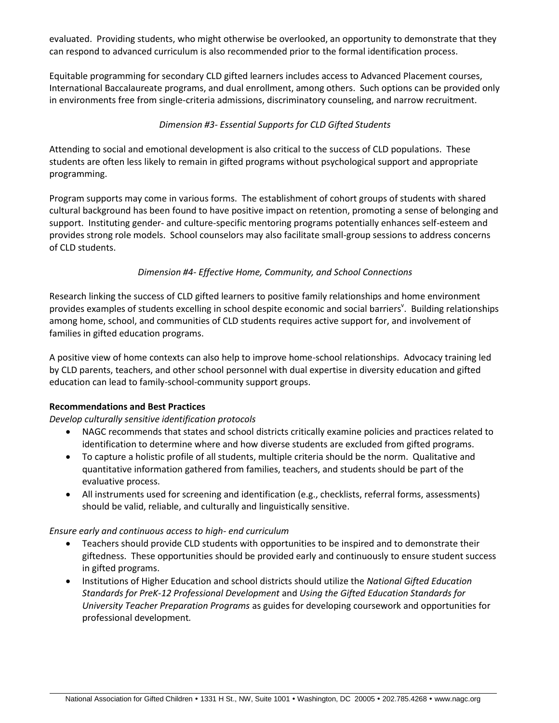evaluated. Providing students, who might otherwise be overlooked, an opportunity to demonstrate that they can respond to advanced curriculum is also recommended prior to the formal identification process.

Equitable programming for secondary CLD gifted learners includes access to Advanced Placement courses, International Baccalaureate programs, and dual enrollment, among others. Such options can be provided only in environments free from single-criteria admissions, discriminatory counseling, and narrow recruitment.

#### *Dimension #3- Essential Supports for CLD Gifted Students*

Attending to social and emotional development is also critical to the success of CLD populations. These students are often less likely to remain in gifted programs without psychological support and appropriate programming.

Program supports may come in various forms. The establishment of cohort groups of students with shared cultural background has been found to have positive impact on retention, promoting a sense of belonging and support. Instituting gender- and culture-specific mentoring programs potentially enhances self-esteem and provides strong role models. School counselors may also facilitate small-group sessions to address concerns of CLD students.

#### *Dimension #4- Effective Home, Community, and School Connections*

Research linking the success of CLD gifted learners to positive family relationships and home environment provides examples of students excelling in school despite economic and social barriers<sup>v</sup>. Building relationships among home, school, and communities of CLD students requires active support for, and involvement of families in gifted education programs.

A positive view of home contexts can also help to improve home-school relationships. Advocacy training led by CLD parents, teachers, and other school personnel with dual expertise in diversity education and gifted education can lead to family-school-community support groups.

#### **Recommendations and Best Practices**

*Develop culturally sensitive identification protocols*

- NAGC recommends that states and school districts critically examine policies and practices related to identification to determine where and how diverse students are excluded from gifted programs.
- To capture a holistic profile of all students, multiple criteria should be the norm. Qualitative and quantitative information gathered from families, teachers, and students should be part of the evaluative process.
- All instruments used for screening and identification (e.g., checklists, referral forms, assessments) should be valid, reliable, and culturally and linguistically sensitive.

#### *Ensure early and continuous access to high- end curriculum*

- Teachers should provide CLD students with opportunities to be inspired and to demonstrate their giftedness. These opportunities should be provided early and continuously to ensure student success in gifted programs.
- Institutions of Higher Education and school districts should utilize the *National Gifted Education Standards for PreK-12 Professional Development* and *Using the Gifted Education Standards for University Teacher Preparation Programs* as guides for developing coursework and opportunities for professional development*.*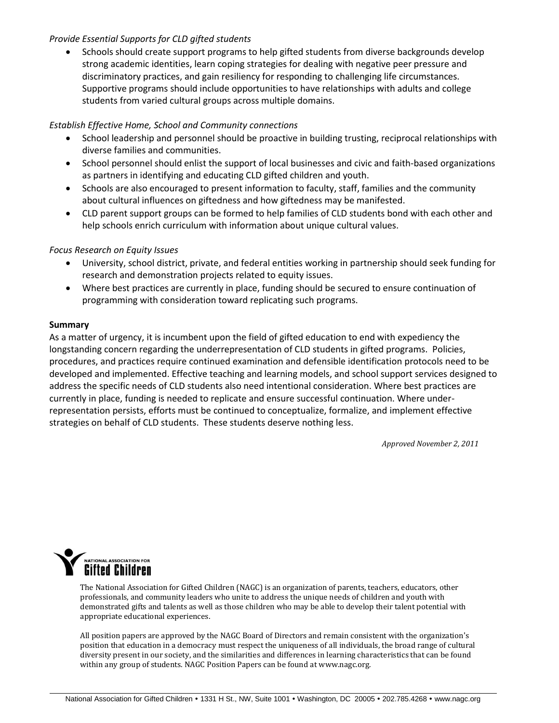#### *Provide Essential Supports for CLD gifted students*

 Schools should create support programs to help gifted students from diverse backgrounds develop strong academic identities, learn coping strategies for dealing with negative peer pressure and discriminatory practices, and gain resiliency for responding to challenging life circumstances. Supportive programs should include opportunities to have relationships with adults and college students from varied cultural groups across multiple domains.

# *Establish Effective Home, School and Community connections*

- School leadership and personnel should be proactive in building trusting, reciprocal relationships with diverse families and communities.
- School personnel should enlist the support of local businesses and civic and faith-based organizations as partners in identifying and educating CLD gifted children and youth.
- Schools are also encouraged to present information to faculty, staff, families and the community about cultural influences on giftedness and how giftedness may be manifested.
- CLD parent support groups can be formed to help families of CLD students bond with each other and help schools enrich curriculum with information about unique cultural values.

#### *Focus Research on Equity Issues*

- University, school district, private, and federal entities working in partnership should seek funding for research and demonstration projects related to equity issues.
- Where best practices are currently in place, funding should be secured to ensure continuation of programming with consideration toward replicating such programs.

#### **Summary**

As a matter of urgency, it is incumbent upon the field of gifted education to end with expediency the longstanding concern regarding the underrepresentation of CLD students in gifted programs. Policies, procedures, and practices require continued examination and defensible identification protocols need to be developed and implemented. Effective teaching and learning models, and school support services designed to address the specific needs of CLD students also need intentional consideration. Where best practices are currently in place, funding is needed to replicate and ensure successful continuation. Where underrepresentation persists, efforts must be continued to conceptualize, formalize, and implement effective strategies on behalf of CLD students. These students deserve nothing less.

*Approved November 2, 2011*



The National Association for Gifted Children (NAGC) is an organization of parents, teachers, educators, other professionals, and community leaders who unite to address the unique needs of children and youth with demonstrated gifts and talents as well as those children who may be able to develop their talent potential with appropriate educational experiences.

All position papers are approved by the NAGC Board of Directors and remain consistent with the organization's position that education in a democracy must respect the uniqueness of all individuals, the broad range of cultural diversity present in our society, and the similarities and differences in learning characteristics that can be found within any group of students. NAGC Position Papers can be found at www.nagc.org.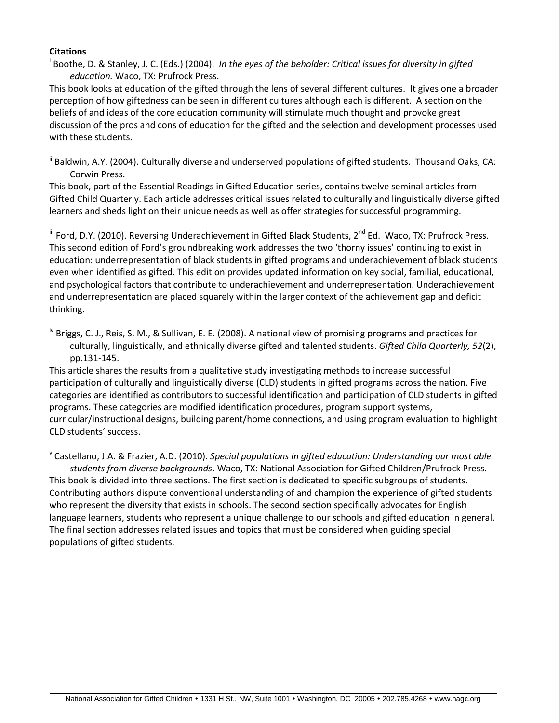#### **Citations**

 $\overline{a}$ 

i Boothe, D. & Stanley, J. C. (Eds.) (2004). *In the eyes of the beholder: Critical issues for diversity in gifted education.* Waco, TX: Prufrock Press.

This book looks at education of the gifted through the lens of several different cultures. It gives one a broader perception of how giftedness can be seen in different cultures although each is different. A section on the beliefs of and ideas of the core education community will stimulate much thought and provoke great discussion of the pros and cons of education for the gifted and the selection and development processes used with these students.

<sup>ii</sup> Baldwin, A.Y. (2004). Culturally diverse and underserved populations of gifted students. Thousand Oaks, CA: Corwin Press.

This book, part of the Essential Readings in Gifted Education series, contains twelve seminal articles from Gifted Child Quarterly. Each article addresses critical issues related to culturally and linguistically diverse gifted learners and sheds light on their unique needs as well as offer strategies for successful programming.

<sup>iii</sup> Ford, D.Y. (2010). Reversing Underachievement in Gifted Black Students, 2<sup>nd</sup> Ed. Waco, TX: Prufrock Press. This second edition of Ford's groundbreaking work addresses the two 'thorny issues' continuing to exist in education: underrepresentation of black students in gifted programs and underachievement of black students even when identified as gifted. This edition provides updated information on key social, familial, educational, and psychological factors that contribute to underachievement and underrepresentation. Underachievement and underrepresentation are placed squarely within the larger context of the achievement gap and deficit thinking.

<sup>iv</sup> Briggs, C. J., Reis, S. M., & Sullivan, E. E. (2008). A national view of promising programs and practices for culturally, linguistically, and ethnically diverse gifted and talented students. *Gifted Child Quarterly, 52*(2), pp.131-145.

This article shares the results from a qualitative study investigating methods to increase successful participation of culturally and linguistically diverse (CLD) students in gifted programs across the nation. Five categories are identified as contributors to successful identification and participation of CLD students in gifted programs. These categories are modified identification procedures, program support systems, curricular/instructional designs, building parent/home connections, and using program evaluation to highlight CLD students' success.

v Castellano, J.A. & Frazier, A.D. (2010). *Special populations in gifted education: Understanding our most able students from diverse backgrounds*. Waco, TX: National Association for Gifted Children/Prufrock Press. This book is divided into three sections. The first section is dedicated to specific subgroups of students. Contributing authors dispute conventional understanding of and champion the experience of gifted students who represent the diversity that exists in schools. The second section specifically advocates for English language learners, students who represent a unique challenge to our schools and gifted education in general. The final section addresses related issues and topics that must be considered when guiding special populations of gifted students.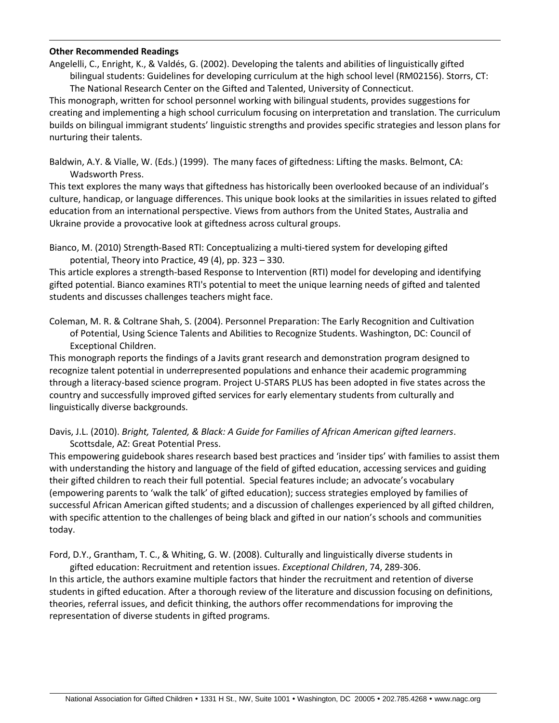#### **Other Recommended Readings**

 $\overline{a}$ 

Angelelli, C., Enright, K., & Valdés, G. (2002). Developing the talents and abilities of linguistically gifted bilingual students: Guidelines for developing curriculum at the high school level (RM02156). Storrs, CT: The National Research Center on the Gifted and Talented, University of Connecticut.

This monograph, written for school personnel working with bilingual students, provides suggestions for creating and implementing a high school curriculum focusing on interpretation and translation. The curriculum builds on bilingual immigrant students' linguistic strengths and provides specific strategies and lesson plans for nurturing their talents.

Baldwin, A.Y. & Vialle, W. (Eds.) (1999). The many faces of giftedness: Lifting the masks. Belmont, CA: Wadsworth Press.

This text explores the many ways that giftedness has historically been overlooked because of an individual's culture, handicap, or language differences. This unique book looks at the similarities in issues related to gifted education from an international perspective. Views from authors from the United States, Australia and Ukraine provide a provocative look at giftedness across cultural groups.

Bianco, M. (2010) Strength-Based RTI: Conceptualizing a multi-tiered system for developing gifted potential, Theory into Practice, 49 (4), pp. 323 – 330.

This article explores a strength-based Response to Intervention (RTI) model for developing and identifying gifted potential. Bianco examines RTI's potential to meet the unique learning needs of gifted and talented students and discusses challenges teachers might face.

Coleman, M. R. & Coltrane Shah, S. (2004). Personnel Preparation: The Early Recognition and Cultivation of Potential, Using Science Talents and Abilities to Recognize Students. Washington, DC: Council of Exceptional Children.

This monograph reports the findings of a Javits grant research and demonstration program designed to recognize talent potential in underrepresented populations and enhance their academic programming through a literacy-based science program. Project U-STARS PLUS has been adopted in five states across the country and successfully improved gifted services for early elementary students from culturally and linguistically diverse backgrounds.

Davis, J.L. (2010). *Bright, Talented, & Black: A Guide for Families of African American gifted learners*. Scottsdale, AZ: Great Potential Press.

This empowering guidebook shares research based best practices and 'insider tips' with families to assist them with understanding the history and language of the field of gifted education, accessing services and guiding their gifted children to reach their full potential. Special features include; an advocate's vocabulary (empowering parents to 'walk the talk' of gifted education); success strategies employed by families of successful African American gifted students; and a discussion of challenges experienced by all gifted children, with specific attention to the challenges of being black and gifted in our nation's schools and communities today.

Ford, D.Y., Grantham, T. C., & Whiting, G. W. (2008). Culturally and linguistically diverse students in

gifted education: Recruitment and retention issues. *Exceptional Children*, 74, 289-306. In this article, the authors examine multiple factors that hinder the recruitment and retention of diverse students in gifted education. After a thorough review of the literature and discussion focusing on definitions, theories, referral issues, and deficit thinking, the authors offer recommendations for improving the representation of diverse students in gifted programs.